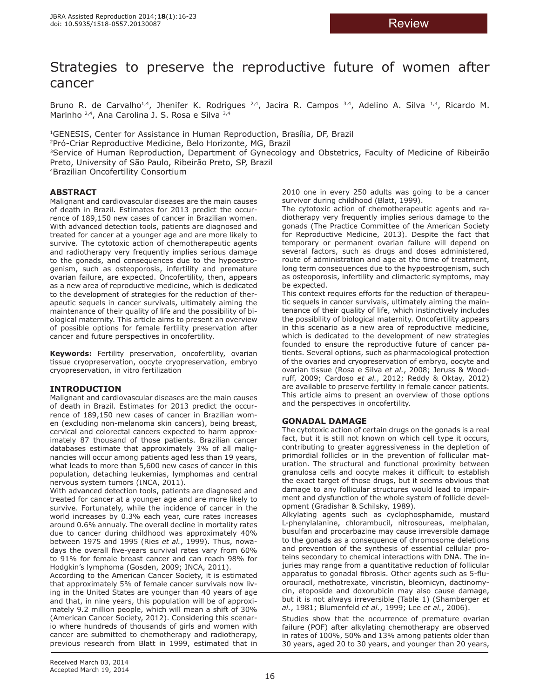# Strategies to preserve the reproductive future of women after cancer

Bruno R. de Carvalho<sup>1,4</sup>, Jhenifer K. Rodrigues <sup>2,4</sup>, Jacira R. Campos  $3,4$ , Adelino A. Silva <sup>1,4</sup>, Ricardo M. Marinho 2,4, Ana Carolina J. S. Rosa e Silva 3,4

1GENESIS, Center for Assistance in Human Reproduction, Brasília, DF, Brazil 2Pró-Criar Reproductive Medicine, Belo Horizonte, MG, Brazil

<sup>3</sup>Service of Human Reproduction, Department of Gynecology and Obstetrics, Faculty of Medicine of Ribeirão Preto, University of São Paulo, Ribeirão Preto, SP, Brazil

4Brazilian Oncofertility Consortium

# **ABSTRACT**

Malignant and cardiovascular diseases are the main causes of death in Brazil. Estimates for 2013 predict the occurrence of 189,150 new cases of cancer in Brazilian women. With advanced detection tools, patients are diagnosed and treated for cancer at a younger age and are more likely to survive. The cytotoxic action of chemotherapeutic agents and radiotherapy very frequently implies serious damage to the gonads, and consequences due to the hypoestrogenism, such as osteoporosis, infertility and premature ovarian failure, are expected. Oncofertility, then, appears as a new area of reproductive medicine, which is dedicated to the development of strategies for the reduction of therapeutic sequels in cancer survivals, ultimately aiming the maintenance of their quality of life and the possibility of biological maternity. This article aims to present an overview of possible options for female fertility preservation after cancer and future perspectives in oncofertility.

**Keywords:** Fertility preservation, oncofertility, ovarian tissue cryopreservation, oocyte cryopreservation, embryo cryopreservation, in vitro fertilization

# **INTRODUCTION**

Malignant and cardiovascular diseases are the main causes of death in Brazil. Estimates for 2013 predict the occurrence of 189,150 new cases of cancer in Brazilian women (excluding non-melanoma skin cancers), being breast, cervical and colorectal cancers expected to harm approximately 87 thousand of those patients. Brazilian cancer databases estimate that approximately 3% of all malignancies will occur among patients aged less than 19 years, what leads to more than 5,600 new cases of cancer in this population, detaching leukemias, lymphomas and central nervous system tumors (INCA, 2011).

With advanced detection tools, patients are diagnosed and treated for cancer at a younger age and are more likely to survive. Fortunately, while the incidence of cancer in the world increases by 0.3% each year, cure rates increases around 0.6% annualy. The overall decline in mortality rates due to cancer during childhood was approximately 40% between 1975 and 1995 (Ries *et al.*, 1999). Thus, nowadays the overall five-years survival rates vary from 60% to 91% for female breast cancer and can reach 98% for Hodgkin's lymphoma (Gosden, 2009; INCA, 2011).

According to the American Cancer Society, it is estimated that approximately 5% of female cancer survivals now living in the United States are younger than 40 years of age and that, in nine years, this population will be of approximately 9.2 million people, which will mean a shift of 30% (American Cancer Society, 2012). Considering this scenario where hundreds of thousands of girls and women with cancer are submitted to chemotherapy and radiotherapy, previous research from Blatt in 1999, estimated that in

2010 one in every 250 adults was going to be a cancer survivor during childhood (Blatt, 1999).

The cytotoxic action of chemotherapeutic agents and radiotherapy very frequently implies serious damage to the gonads (The Practice Committee of the American Society for Reproductive Medicine, 2013). Despite the fact that temporary or permanent ovarian failure will depend on several factors, such as drugs and doses administered, route of administration and age at the time of treatment, long term consequences due to the hypoestrogenism, such as osteoporosis, infertility and climacteric symptoms, may be expected.

This context requires efforts for the reduction of therapeutic sequels in cancer survivals, ultimately aiming the maintenance of their quality of life, which instinctively includes the possibility of biological maternity. Oncofertility appears in this scenario as a new area of reproductive medicine, which is dedicated to the development of new strategies founded to ensure the reproductive future of cancer patients. Several options, such as pharmacological protection of the ovaries and cryopreservation of embryo, oocyte and ovarian tissue (Rosa e Silva *et al.*, 2008; Jeruss & Woodruff, 2009; Cardoso *et al.*, 2012; Reddy & Oktay, 2012) are available to preserve fertility in female cancer patients. This article aims to present an overview of those options and the perspectives in oncofertility.

# **GONADAL DAMAGE**

The cytotoxic action of certain drugs on the gonads is a real fact, but it is still not known on which cell type it occurs, contributing to greater aggressiveness in the depletion of primordial follicles or in the prevention of follicular maturation. The structural and functional proximity between granulosa cells and oocyte makes it difficult to establish the exact target of those drugs, but it seems obvious that damage to any follicular structures would lead to impairment and dysfunction of the whole system of follicle development (Gradishar & Schilsky, 1989).

Alkylating agents such as cyclophosphamide, mustard L-phenylalanine, chlorambucil, nitrosoureas, melphalan, busulfan and procarbazine may cause irreversible damage to the gonads as a consequence of chromosome deletions and prevention of the synthesis of essential cellular proteins secondary to chemical interactions with DNA. The injuries may range from a quantitative reduction of follicular apparatus to gonadal fibrosis. Other agents such as 5-fluorouracil, methotrexate, vincristin, bleomicyn, dactinomycin, etoposide and doxorubicin may also cause damage, but it is not always irreversible (Table 1) (Shamberger *et al.*, 1981; Blumenfeld *et al.*, 1999; Lee *et al.*, 2006).

Studies show that the occurrence of premature ovarian failure (POF) after alkylating chemotherapy are observed in rates of 100%, 50% and 13% among patients older than 30 years, aged 20 to 30 years, and younger than 20 years,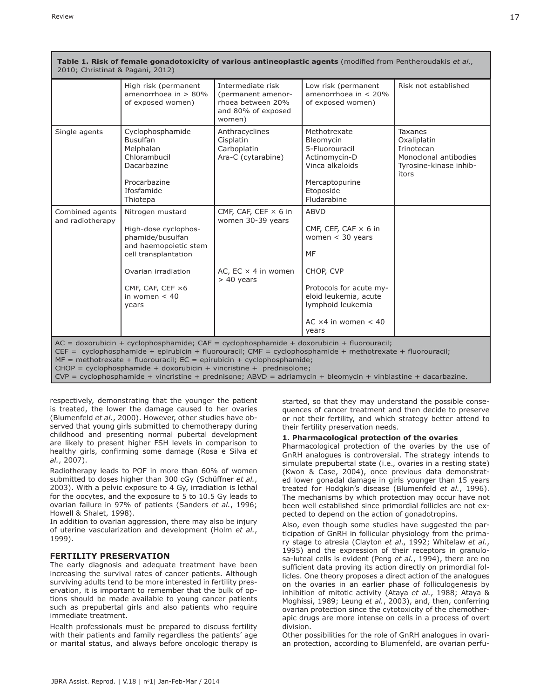|                                     | High risk (permanent<br>amenorrhoea in $> 80\%$<br>of exposed women)                                                                 | Intermediate risk<br>(permanent amenor-<br>rhoea between 20%<br>and 80% of exposed<br>women) | Low risk (permanent<br>amenorrhoea in $< 20\%$<br>of exposed women)                                                           | Risk not established                                                                             |
|-------------------------------------|--------------------------------------------------------------------------------------------------------------------------------------|----------------------------------------------------------------------------------------------|-------------------------------------------------------------------------------------------------------------------------------|--------------------------------------------------------------------------------------------------|
| Single agents                       | Cyclophosphamide<br><b>Busulfan</b><br>Melphalan<br>Chlorambucil<br>Dacarbazine<br>Procarbazine<br>Ifosfamide<br>Thiotepa            | Anthracyclines<br>Cisplatin<br>Carboplatin<br>Ara-C (cytarabine)                             | Methotrexate<br>Bleomycin<br>5-Fluorouracil<br>Actinomycin-D<br>Vinca alkaloids<br>Mercaptopurine<br>Etoposide<br>Fludarabine | Taxanes<br>Oxaliplatin<br>Irinotecan<br>Monoclonal antibodies<br>Tyrosine-kinase inhib-<br>itors |
| Combined agents<br>and radiotherapy | Nitrogen mustard<br>High-dose cyclophos-<br>phamide/busulfan<br>and haemopoietic stem<br>cell transplantation<br>Ovarian irradiation | CMF, CAF, CEF $\times$ 6 in<br>women 30-39 years<br>AC, EC $\times$ 4 in women               | <b>ABVD</b><br>CMF, CEF, CAF $\times$ 6 in<br>women $<$ 30 years<br>MF<br>CHOP, CVP                                           |                                                                                                  |
|                                     | CMF, CAF, CEF ×6<br>in women $< 40$<br>years                                                                                         | $> 40$ years                                                                                 | Protocols for acute my-<br>eloid leukemia, acute<br>lymphoid leukemia<br>AC $\times$ 4 in women < 40<br>years                 |                                                                                                  |

respectively, demonstrating that the younger the patient is treated, the lower the damage caused to her ovaries (Blumenfeld *et al.*, 2000). However, other studies have observed that young girls submitted to chemotherapy during childhood and presenting normal pubertal development are likely to present higher FSH levels in comparison to healthy girls, confirming some damage (Rosa e Silva *et al.*, 2007).

Radiotherapy leads to POF in more than 60% of women submitted to doses higher than 300 cGy (Schüffner *et al.*, 2003). With a pelvic exposure to 4 Gy, irradiation is lethal for the oocytes, and the exposure to 5 to 10.5 Gy leads to ovarian failure in 97% of patients (Sanders *et al.*, 1996; Howell & Shalet, 1998).

In addition to ovarian aggression, there may also be injury of uterine vascularization and development (Holm *et al.*, 1999).

## **FERTILITY PRESERVATION**

The early diagnosis and adequate treatment have been increasing the survival rates of cancer patients. Although surviving adults tend to be more interested in fertility preservation, it is important to remember that the bulk of options should be made available to young cancer patients such as prepubertal girls and also patients who require immediate treatment.

Health professionals must be prepared to discuss fertility with their patients and family regardless the patients' age or marital status, and always before oncologic therapy is

started, so that they may understand the possible consequences of cancer treatment and then decide to preserve or not their fertility, and which strategy better attend to their fertility preservation needs.

#### **1. Pharmacological protection of the ovaries**

Pharmacological protection of the ovaries by the use of GnRH analogues is controversial. The strategy intends to simulate prepubertal state (i.e., ovaries in a resting state) (Kwon & Case, 2004), once previous data demonstrated lower gonadal damage in girls younger than 15 years treated for Hodgkin's disease (Blumenfeld *et al.*, 1996). The mechanisms by which protection may occur have not been well established since primordial follicles are not expected to depend on the action of gonadotropins.

Also, even though some studies have suggested the participation of GnRH in follicular physiology from the primary stage to atresia (Clayton *et al*., 1992; Whitelaw *et al.*, 1995) and the expression of their receptors in granulosa-luteal cells is evident (Peng *et al.*, 1994), there are no sufficient data proving its action directly on primordial follicles. One theory proposes a direct action of the analogues on the ovaries in an earlier phase of folliculogenesis by inhibition of mitotic activity (Ataya *et al.*, 1988; Ataya & Moghissi, 1989; Leung *et al.*, 2003), and, then, conferring ovarian protection since the cytotoxicity of the chemotherapic drugs are more intense on cells in a process of overt division.

Other possibilities for the role of GnRH analogues in ovarian protection, according to Blumenfeld, are ovarian perfu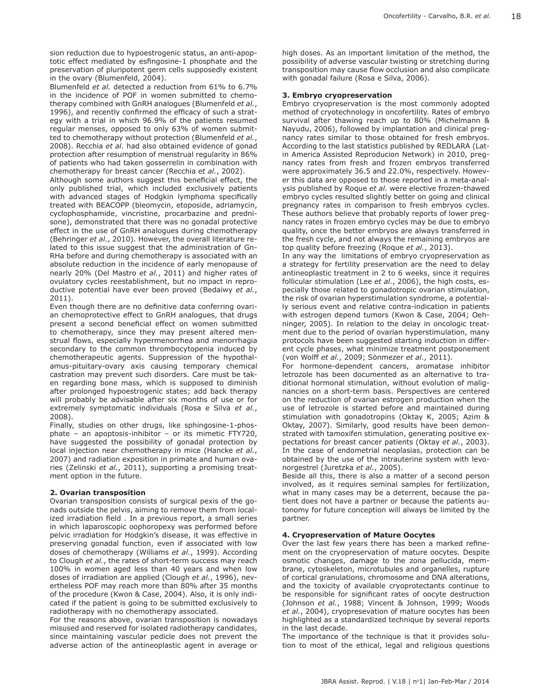sion reduction due to hypoestrogenic status, an anti-apoptotic effect mediated by esfingosine-1 phosphate and the preservation of pluripotent germ cells supposedly existent in the ovary (Blumenfeld, 2004).

Blumenfeld *et al.* detected a reduction from 61% to 6.7% in the incidence of POF in women submitted to chemotherapy combined with GnRH analogues (Blumenfeld *et al.*, 1996), and recently confirmed the efficacy of such a strategy with a trial in which 96.9% of the patients resumed regular menses, opposed to only 63% of women submitted to chemotherapy without protection (Blumenfeld *et al.*, 2008). Recchia *et al.* had also obtained evidence of gonad protection after resumption of menstrual regularity in 86% of patients who had taken gosserrelin in combination with chemotherapy for breast cancer (Recchia *et al.*, 2002).

Although some authors suggest this beneficial effect, the only published trial, which included exclusively patients with advanced stages of Hodgkin lymphoma specifically treated with BEACOPP (bleomycin, etoposide, adriamycin, cyclophosphamide, vincristine, procarbazine and prednisone), demonstrated that there was no gonadal protective effect in the use of GnRH analogues during chemotherapy (Behringer *et al.*, 2010). However, the overall literature related to this issue suggest that the administration of Gn-RHa before and during chemotherapy is associated with an absolute reduction in the incidence of early menopause of nearly 20% (Del Mastro *et al.*, 2011) and higher rates of ovulatory cycles reestablishment, but no impact in reproductive potential have ever been proved (Bedaiwy *et al.*, 2011).

Even though there are no definitive data conferring ovarian chemoprotective effect to GnRH analogues, that drugs present a second beneficial effect on women submitted to chemotherapy, since they may present altered menstrual flows, especially hypermenorrhea and menorrhagia secondary to the common thrombocytopenia induced by chemotherapeutic agents. Suppression of the hypothalamus-pituitary-ovary axis causing temporary chemical castration may prevent such disorders. Care must be taken regarding bone mass, which is supposed to diminish after prolonged hypoestrogenic states; add back therapy will probably be advisable after six months of use or for extremely symptomatic individuals (Rosa e Silva *et al.*, 2008).

Finally, studies on other drugs, like sphingosine-1-phosphate – an apoptosis-inhibitor – or its mimetic FTY720, have suggested the possibility of gonadal protection by local injection near chemotherapy in mice (Hancke *et al.*, 2007) and radiation exposition in primate and human ovaries (Zelinski *et al.*, 2011), supporting a promising treatment option in the future.

## **2. Ovarian transposition**

Ovarian transposition consists of surgical pexis of the gonads outside the pelvis, aiming to remove them from localized irradiation field . In a previous report, a small series in which laparoscopic oophoropexy was performed before pelvic irradiation for Hodgkin's disease, it was effective in preserving gonadal function, even if associated with low doses of chemotherapy (Williams *et al.*, 1999). According to Clough *et al.*, the rates of short-term success may reach 100% in women aged less than 40 years and when low doses of irradiation are applied (Clough *et al.*, 1996), nevertheless POF may reach more than 80% after 35 months of the procedure (Kwon & Case, 2004). Also, it is only indicated if the patient is going to be submitted exclusively to radiotherapy with no chemotherapy associated.

For the reasons above, ovarian transposition is nowadays misused and reserved for isolated radiotherapy candidates, since maintaining vascular pedicle does not prevent the adverse action of the antineoplastic agent in average or

high doses. As an important limitation of the method, the possibility of adverse vascular twisting or stretching during transposition may cause flow occlusion and also complicate with gonadal failure (Rosa e Silva, 2006).

#### **3. Embryo cryopreservation**

Embryo cryopreservation is the most commonly adopted method of cryotechnology in oncofertility. Rates of embryo survival after thawing reach up to 80% (Michelmann & Nayudu, 2006), followed by implantation and clinical pregnancy rates similar to those obtained for fresh embryos. According to the last statistics published by REDLARA (Latin America Assisted Reproducion Network) in 2010, pregnancy rates from fresh and frozen embryos transferred were approximately 36.5 and 22.0%, respectively. However this data are opposed to those reported in a meta-analysis published by Roque *et al.* were elective frozen-thawed embryo cycles resulted slightly better on going and clinical pregnancy rates in comparison to fresh embryos cycles. These authors believe that probably reports of lower pregnancy rates in frozen embryo cycles may be due to embryo quality, once the better embryos are always transferred in the fresh cycle, and not always the remaining embryos are top quality before freezing (Roque *et al.*, 2013).

In any way the limitations of embryo cryopreservation as a strategy for fertility preservation are the need to delay antineoplastic treatment in 2 to 6 weeks, since it requires follicular stimulation (Lee *et al.*, 2006), the high costs, especially those related to gonadotropic ovarian stimulation, the risk of ovarian hyperstimulation syndrome, a potentially serious event and relative contra-indication in patients with estrogen depend tumors (Kwon & Case, 2004; Oehninger, 2005). In relation to the delay in oncologic treatment due to the period of ovarian hyperstimulation, many protocols have been suggested starting induction in different cycle phases, what minimize treatment postponement (von Wolff *et al.*, 2009; Sönmezer *et al.*, 2011).

For hormone-dependent cancers, aromatase inhibitor letrozole has been documented as an alternative to traditional hormonal stimulation, without evolution of malignancies on a short-term basis. Perspectives are centered on the reduction of ovarian estrogen production when the use of letrozole is started before and maintained during stimulation with gonadotropins (Oktay K, 2005; Azim & Oktay, 2007). Similarly, good results have been demonstrated with tamoxifen stimulation, generating positive expectations for breast cancer patients (Oktay *et al.*, 2003). In the case of endometrial neoplasias, protection can be obtained by the use of the intrauterine system with levonorgestrel (Juretzka *et al.*, 2005).

Beside all this, there is also a matter of a second person involved, as it requires seminal samples for fertilization, what in many cases may be a deterrent, because the patient does not have a partner or because the patients autonomy for future conception will always be limited by the partner.

## **4. Cryopreservation of Mature Oocytes**

Over the last few years there has been a marked refinement on the cryopreservation of mature oocytes. Despite osmotic changes, damage to the zona pellucida, membrane, cytoskeleton, microtubules and organelles, rupture of cortical granulations, chromosome and DNA alterations, and the toxicity of available cryoprotectants continue to be responsible for significant rates of oocyte destruction (Johnson *et al.*, 1988; Vincent & Johnson, 1999; Woods *et al.*, 2004), cryopresevation of mature oocytes has been highlighted as a standardized technique by several reports in the last decade.

The importance of the technique is that it provides solution to most of the ethical, legal and religious questions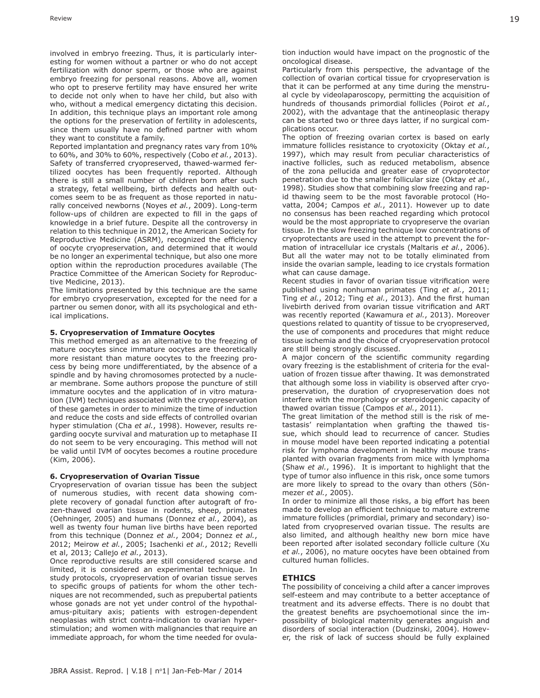involved in embryo freezing. Thus, it is particularly interesting for women without a partner or who do not accept fertilization with donor sperm, or those who are against embryo freezing for personal reasons. Above all, women who opt to preserve fertility may have ensured her write to decide not only when to have her child, but also with who, without a medical emergency dictating this decision. In addition, this technique plays an important role among the options for the preservation of fertility in adolescents, since them usually have no defined partner with whom they want to constitute a family.

Reported implantation and pregnancy rates vary from 10% to 60%, and 30% to 60%, respectively (Cobo *et al.*, 2013). Safety of transferred cryopreserved, thawed-warmed fertilized oocytes has been frequently reported. Although there is still a small number of children born after such a strategy, fetal wellbeing, birth defects and health outcomes seem to be as frequent as those reported in naturally conceived newborns (Noyes *et al.*, 2009). Long-term follow-ups of children are expected to fill in the gaps of knowledge in a brief future. Despite all the controversy in relation to this technique in 2012, the American Society for Reproductive Medicine (ASRM), recognized the efficiency of oocyte cryopreservation, and determined that it would be no longer an experimental technique, but also one more option within the reproduction procedures available (The Practice Committee of the American Society for Reproductive Medicine, 2013).

The limitations presented by this technique are the same for embryo cryopreservation, excepted for the need for a partner ou semen donor, with all its psychological and ethical implications.

#### **5. Cryopreservation of Immature Oocytes**

This method emerged as an alternative to the freezing of mature oocytes since immature oocytes are theoretically more resistant than mature oocytes to the freezing process by being more undifferentiated, by the absence of a spindle and by having chromosomes protected by a nuclear membrane. Some authors propose the puncture of still immature oocytes and the application of in vitro maturation (IVM) techniques associated with the cryopreservation of these gametes in order to minimize the time of induction and reduce the costs and side effects of controlled ovarian hyper stimulation (Cha *et al.*, 1998). However, results regarding oocyte survival and maturation up to metaphase II do not seem to be very encouraging. This method will not be valid until IVM of oocytes becomes a routine procedure (Kim, 2006).

#### **6. Cryopreservation of Ovarian Tissue**

Cryopreservation of ovarian tissue has been the subject of numerous studies, with recent data showing complete recovery of gonadal function after autograft of frozen-thawed ovarian tissue in rodents, sheep, primates (Oehninger, 2005) and humans (Donnez *et al.*, 2004), as well as twenty four human live births have been reported from this technique (Donnez *et al.*, 2004; Donnez *et al.*, 2012; Meirow *et al.*, 2005; Isachenki *et al.*, 2012; Revelli et al, 2013; Callejo *et al.*, 2013).

Once reproductive results are still considered scarse and limited, it is considered an experimental technique. In study protocols, cryopreservation of ovarian tissue serves to specific groups of patients for whom the other techniques are not recommended, such as prepubertal patients whose gonads are not yet under control of the hypothalamus-pituitary axis; patients with estrogen-dependent neoplasias with strict contra-indication to ovarian hyperstimulation; and women with malignancies that require an immediate approach, for whom the time needed for ovula-

Particularly from this perspective, the advantage of the collection of ovarian cortical tissue for cryopreservation is that it can be performed at any time during the menstrual cycle by videolaparoscopy, permitting the acquisition of hundreds of thousands primordial follicles (Poirot *et al.*, 2002), with the advantage that the antineoplasic therapy can be started two or three days latter, if no surgical complications occur.

The option of freezing ovarian cortex is based on early immature follicles resistance to cryotoxicity (Oktay *et al.*, 1997), which may result from peculiar characteristics of inactive follicles, such as reduced metabolism, absence of the zona pellucida and greater ease of cryoprotector penetration due to the smaller follicular size (Oktay *et al.*, 1998). Studies show that combining slow freezing and rapid thawing seem to be the most favorable protocol (Hovatta, 2004; Campos *et al.*, 2011). However up to date no consensus has been reached regarding which protocol would be the most appropriate to cryopreserve the ovarian tissue. In the slow freezing technique low concentrations of cryoprotectants are used in the attempt to prevent the formation of intracellular ice crystals (Maltaris *et al.*, 2006). But all the water may not to be totally eliminated from inside the ovarian sample, leading to ice crystals formation what can cause damage.

Recent studies in favor of ovarian tissue vitrification were published using nonhuman primates (Ting *et al.*, 2011; Ting *et al.*, 2012; Ting *et al.*, 2013). And the first human livebirth derived from ovarian tissue vitrification and ART was recently reported (Kawamura *et al.*, 2013). Moreover questions related to quantity of tissue to be cryopreserved, the use of components and procedures that might reduce tissue ischemia and the choice of cryopreservation protocol are still being strongly discussed.

A major concern of the scientific community regarding ovary freezing is the establishment of criteria for the evaluation of frozen tissue after thawing. It was demonstrated that although some loss in viability is observed after cryopreservation, the duration of cryopreservation does not interfere with the morphology or steroidogenic capacity of thawed ovarian tissue (Campos *et al.*, 2011).

The great limitation of the method still is the risk of metastasis' reimplantation when grafting the thawed tissue, which should lead to recurrence of cancer. Studies in mouse model have been reported indicating a potential risk for lymphoma development in healthy mouse transplanted with ovarian fragments from mice with lymphoma (Shaw *et al.*, 1996). It is important to highlight that the type of tumor also influence in this risk, once some tumors are more likely to spread to the ovary than others (Sönmezer *et al.*, 2005).

In order to minimize all those risks, a big effort has been made to develop an efficient technique to mature extreme immature follicles (primordial, primary and secondary) isolated from cryopreserved ovarian tissue. The results are also limited, and although healthy new born mice have been reported after isolated secondary follicle culture (Xu *et al.*, 2006), no mature oocytes have been obtained from cultured human follicles.

# **ETHICS**

The possibility of conceiving a child after a cancer improves self-esteem and may contribute to a better acceptance of treatment and its adverse effects. There is no doubt that the greatest benefits are psychoemotional since the impossibility of biological maternity generates anguish and disorders of social interaction (Dudzinski, 2004). However, the risk of lack of success should be fully explained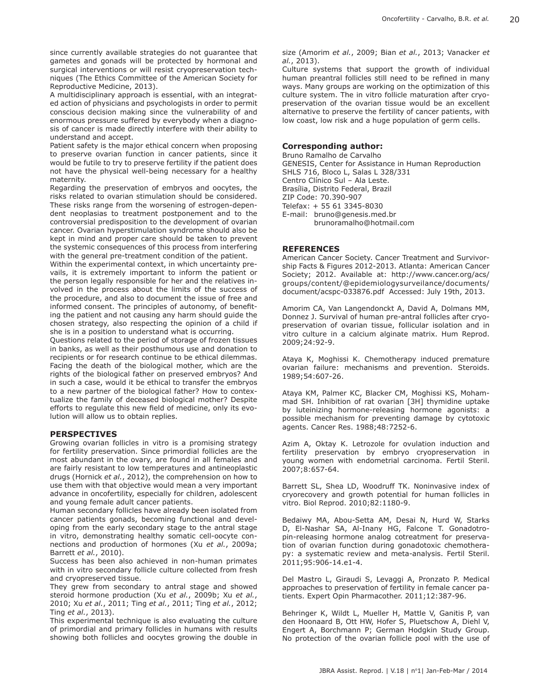since currently available strategies do not guarantee that gametes and gonads will be protected by hormonal and surgical interventions or will resist cryopreservation techniques (The Ethics Committee of the American Society for Reproductive Medicine, 2013).

A multidisciplinary approach is essential, with an integrated action of physicians and psychologists in order to permit conscious decision making since the vulnerability of and enormous pressure suffered by everybody when a diagnosis of cancer is made directly interfere with their ability to understand and accept.

Patient safety is the major ethical concern when proposing to preserve ovarian function in cancer patients, since it would be futile to try to preserve fertility if the patient does not have the physical well-being necessary for a healthy maternity.

Regarding the preservation of embryos and oocytes, the risks related to ovarian stimulation should be considered. These risks range from the worsening of estrogen-dependent neoplasias to treatment postponement and to the controversial predisposition to the development of ovarian cancer. Ovarian hyperstimulation syndrome should also be kept in mind and proper care should be taken to prevent the systemic consequences of this process from interfering with the general pre-treatment condition of the patient.

Within the experimental context, in which uncertainty prevails, it is extremely important to inform the patient or the person legally responsible for her and the relatives involved in the process about the limits of the success of the procedure, and also to document the issue of free and informed consent. The principles of autonomy, of benefiting the patient and not causing any harm should guide the chosen strategy, also respecting the opinion of a child if she is in a position to understand what is occurring.

Questions related to the period of storage of frozen tissues in banks, as well as their posthumous use and donation to recipients or for research continue to be ethical dilemmas. Facing the death of the biological mother, which are the rights of the biological father on preserved embryos? And in such a case, would it be ethical to transfer the embryos to a new partner of the biological father? How to contextualize the family of deceased biological mother? Despite efforts to regulate this new field of medicine, only its evolution will allow us to obtain replies.

## **PERSPECTIVES**

Growing ovarian follicles in vitro is a promising strategy for fertility preservation. Since primordial follicles are the most abundant in the ovary, are found in all females and are fairly resistant to low temperatures and antineoplastic drugs (Hornick *et al.*, 2012), the comprehension on how to use them with that objective would mean a very important advance in oncofertility, especially for children, adolescent and young female adult cancer patients.

Human secondary follicles have already been isolated from cancer patients gonads, becoming functional and developing from the early secondary stage to the antral stage in vitro, demonstrating healthy somatic cell-oocyte connections and production of hormones (Xu *et al.*, 2009a; Barrett *et al.*, 2010).

Success has been also achieved in non-human primates with in vitro secondary follicle culture collected from fresh and cryopreserved tissue.

They grew from secondary to antral stage and showed steroid hormone production (Xu *et al.*, 2009b; Xu *et al.*, 2010; Xu *et al.*, 2011; Ting *et al.*, 2011; Ting *et al.*, 2012; Ting *et al.*, 2013).

This experimental technique is also evaluating the culture of primordial and primary follicles in humans with results showing both follicles and oocytes growing the double in size (Amorim *et al.*, 2009; Bian *et al.*, 2013; Vanacker *et al.*, 2013).

Culture systems that support the growth of individual human preantral follicles still need to be refined in many ways. Many groups are working on the optimization of this culture system. The in vitro follicle maturation after cryopreservation of the ovarian tissue would be an excellent alternative to preserve the fertility of cancer patients, with low coast, low risk and a huge population of germ cells.

#### **Corresponding author:**

Bruno Ramalho de Carvalho GENESIS, Center for Assistance in Human Reproduction SHLS 716, Bloco L, Salas L 328/331 Centro Clínico Sul – Ala Leste. Brasília, Distrito Federal, Brazil ZIP Code: 70.390-907 Telefax: + 55 61 3345-8030 E-mail: bruno@genesis.med.br brunoramalho@hotmail.com

#### **REFERENCES**

American Cancer Society. Cancer Treatment and Survivorship Facts & Figures 2012-2013. Atlanta: American Cancer Society; 2012. Available at: http://www.cancer.org/acs/ groups/content/@epidemiologysurveilance/documents/ document/acspc-033876.pdf Accessed: July 19th, 2013.

Amorim CA, Van Langendonckt A, David A, Dolmans MM, Donnez J. Survival of human pre-antral follicles after cryopreservation of ovarian tissue, follicular isolation and in vitro culture in a calcium alginate matrix. Hum Reprod. 2009;24:92-9.

Ataya K, Moghissi K. Chemotherapy induced premature ovarian failure: mechanisms and prevention. Steroids. 1989;54:607-26.

Ataya KM, Palmer KC, Blacker CM, Moghissi KS, Mohammad SH. Inhibition of rat ovarian [3H] thymidine uptake by luteinizing hormone-releasing hormone agonists: a possible mechanism for preventing damage by cytotoxic agents. Cancer Res. 1988;48:7252-6.

Azim A, Oktay K. Letrozole for ovulation induction and fertility preservation by embryo cryopreservation in young women with endometrial carcinoma. Fertil Steril. 2007;8:657-64.

Barrett SL, Shea LD, Woodruff TK. Noninvasive index of cryorecovery and growth potential for human follicles in vitro. Biol Reprod. 2010;82:1180-9.

Bedaiwy MA, Abou-Setta AM, Desai N, Hurd W, Starks D, El-Nashar SA, Al-Inany HG, Falcone T. Gonadotropin-releasing hormone analog cotreatment for preservation of ovarian function during gonadotoxic chemotherapy: a systematic review and meta-analysis. Fertil Steril. 2011;95:906-14.e1-4.

Del Mastro L, Giraudi S, Levaggi A, Pronzato P. Medical approaches to preservation of fertility in female cancer patients. Expert Opin Pharmacother. 2011;12:387-96.

Behringer K, Wildt L, Mueller H, Mattle V, Ganitis P, van den Hoonaard B, Ott HW, Hofer S, Pluetschow A, Diehl V, Engert A, Borchmann P; German Hodgkin Study Group. No protection of the ovarian follicle pool with the use of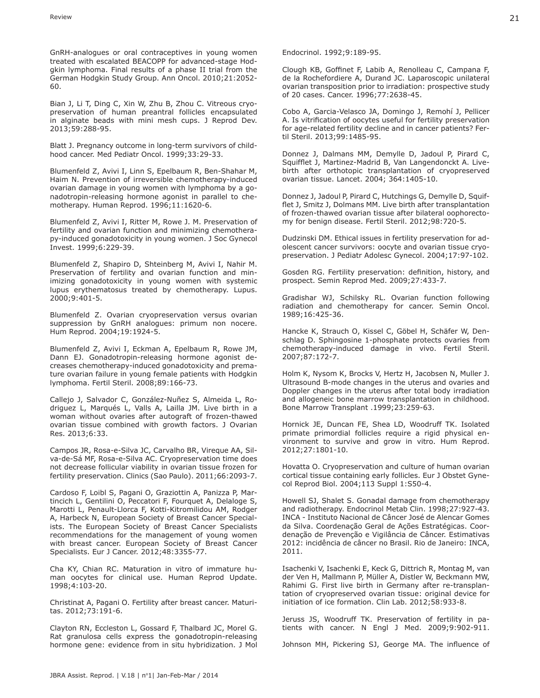GnRH-analogues or oral contraceptives in young women treated with escalated BEACOPP for advanced-stage Hodgkin lymphoma. Final results of a phase II trial from the German Hodgkin Study Group. Ann Oncol. 2010;21:2052- 60.

Bian J, Li T, Ding C, Xin W, Zhu B, Zhou C. Vitreous cryopreservation of human preantral follicles encapsulated in alginate beads with mini mesh cups. J Reprod Dev. 2013;59:288-95.

Blatt J. Pregnancy outcome in long-term survivors of childhood cancer. Med Pediatr Oncol. 1999;33:29-33.

Blumenfeld Z, Avivi I, Linn S, Epelbaum R, Ben-Shahar M, Haim N. Prevention of irreversible chemotherapy-induced ovarian damage in young women with lymphoma by a gonadotropin-releasing hormone agonist in parallel to chemotherapy. Human Reprod. 1996;11:1620-6.

Blumenfeld Z, Avivi I, Ritter M, Rowe J. M. Preservation of fertility and ovarian function and minimizing chemotherapy-induced gonadotoxicity in young women. J Soc Gynecol Invest. 1999;6:229-39.

Blumenfeld Z, Shapiro D, Shteinberg M, Avivi I, Nahir M. Preservation of fertility and ovarian function and minimizing gonadotoxicity in young women with systemic lupus erythematosus treated by chemotherapy. Lupus. 2000;9:401-5.

Blumenfeld Z. Ovarian cryopreservation versus ovarian suppression by GnRH analogues: primum non nocere. Hum Reprod. 2004;19:1924-5.

Blumenfeld Z, Avivi I, Eckman A, Epelbaum R, Rowe JM, Dann EJ. Gonadotropin-releasing hormone agonist decreases chemotherapy-induced gonadotoxicity and premature ovarian failure in young female patients with Hodgkin lymphoma. Fertil Steril. 2008;89:166-73.

Callejo J, Salvador C, González-Nuñez S, Almeida L, Rodriguez L, Marqués L, Valls A, Lailla JM. Live birth in a woman without ovaries after autograft of frozen-thawed ovarian tissue combined with growth factors. J Ovarian Res. 2013;6:33.

Campos JR, Rosa-e-Silva JC, Carvalho BR, Vireque AA, Silva-de-Sá MF, Rosa-e-Silva AC. Cryopreservation time does not decrease follicular viability in ovarian tissue frozen for fertility preservation. Clinics (Sao Paulo). 2011;66:2093-7.

Cardoso F, Loibl S, Pagani O, Graziottin A, Panizza P, Martincich L, Gentilini O, Peccatori F, Fourquet A, Delaloge S, Marotti L, Penault-Llorca F, Kotti-Kitromilidou AM, Rodger A, Harbeck N, European Society of Breast Cancer Specialists. The European Society of Breast Cancer Specialists recommendations for the management of young women with breast cancer. European Society of Breast Cancer Specialists. Eur J Cancer. 2012;48:3355-77.

Cha KY, Chian RC. Maturation in vitro of immature human oocytes for clinical use. Human Reprod Update. 1998;4:103-20.

Christinat A, Pagani O. Fertility after breast cancer. Maturitas. 2012;73:191-6.

Clayton RN, Eccleston L, Gossard F, Thalbard JC, Morel G. Rat granulosa cells express the gonadotropin-releasing hormone gene: evidence from in situ hybridization. J Mol Endocrinol. 1992;9:189-95.

Clough KB, Goffinet F, Labib A, Renolleau C, Campana F, de la Rochefordiere A, Durand JC. Laparoscopic unilateral ovarian transposition prior to irradiation: prospective study of 20 cases. Cancer. 1996;77:2638-45.

Cobo A, Garcia-Velasco JA, Domingo J, Remohí J, Pellicer A. Is vitrification of oocytes useful for fertility preservation for age-related fertility decline and in cancer patients? Fertil Steril. 2013;99:1485-95.

Donnez J, Dalmans MM, Demylle D, Jadoul P, Pirard C, Squifflet J, Martinez-Madrid B, Van Langendonckt A. Livebirth after orthotopic transplantation of cryopreserved ovarian tissue. Lancet. 2004; 364:1405-10.

Donnez J, Jadoul P, Pirard C, Hutchings G, Demylle D, Squifflet J, Smitz J, Dolmans MM. Live birth after transplantation of frozen-thawed ovarian tissue after bilateral oophorectomy for benign disease. Fertil Steril. 2012;98:720-5.

Dudzinski DM. Ethical issues in fertility preservation for adolescent cancer survivors: oocyte and ovarian tissue cryopreservation. J Pediatr Adolesc Gynecol. 2004;17:97-102.

Gosden RG. Fertility preservation: definition, history, and prospect. Semin Reprod Med. 2009;27:433-7.

Gradishar WJ, Schilsky RL. Ovarian function following radiation and chemotherapy for cancer. Semin Oncol. 1989;16:425-36.

Hancke K, Strauch O, Kissel C, Göbel H, Schäfer W, Denschlag D. Sphingosine 1-phosphate protects ovaries from chemotherapy-induced damage in vivo. Fertil Steril. 2007;87:172-7.

Holm K, Nysom K, Brocks V, Hertz H, Jacobsen N, Muller J. Ultrasound B-mode changes in the uterus and ovaries and Doppler changes in the uterus after total body irradiation and allogeneic bone marrow transplantation in childhood. Bone Marrow Transplant .1999;23:259-63.

Hornick JE, Duncan FE, Shea LD, Woodruff TK. Isolated primate primordial follicles require a rigid physical environment to survive and grow in vitro. Hum Reprod. 2012;27:1801-10.

Hovatta O. Cryopreservation and culture of human ovarian cortical tissue containing early follicles. Eur J Obstet Gynecol Reprod Biol. 2004;113 Suppl 1:S50-4.

Howell SJ, Shalet S. Gonadal damage from chemotherapy and radiotherapy. Endocrinol Metab Clin. 1998;27:927-43. INCA - Instituto Nacional de Câncer José de Alencar Gomes da Silva. Coordenação Geral de Ações Estratégicas. Coordenação de Prevenção e Vigilância de Câncer. Estimativas 2012: incidência de câncer no Brasil. Rio de Janeiro: INCA, 2011.

Isachenki V, Isachenki E, Keck G, Dittrich R, Montag M, van der Ven H, Mallmann P, Müller A, Distler W, Beckmann MW, Rahimi G. First live birth in Germany after re-transplantation of cryopreserved ovarian tissue: original device for initiation of ice formation. Clin Lab. 2012;58:933-8.

Jeruss JS, Woodruff TK. Preservation of fertility in patients with cancer. N Engl J Med. 2009;9:902-911.

Johnson MH, Pickering SJ, George MA. The influence of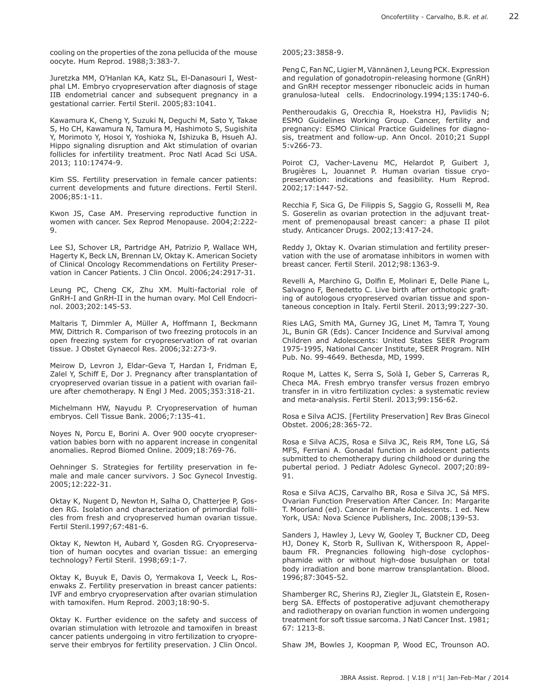cooling on the properties of the zona pellucida of the mouse oocyte. Hum Reprod. 1988;3:383-7.

Juretzka MM, O'Hanlan KA, Katz SL, El-Danasouri I, Westphal LM. Embryo cryopreservation after diagnosis of stage IIB endometrial cancer and subsequent pregnancy in a gestational carrier. Fertil Steril. 2005;83:1041.

Kawamura K, Cheng Y, Suzuki N, Deguchi M, Sato Y, Takae S, Ho CH, Kawamura N, Tamura M, Hashimoto S, Sugishita Y, Morimoto Y, Hosoi Y, Yoshioka N, Ishizuka B, Hsueh AJ. Hippo signaling disruption and Akt stimulation of ovarian follicles for infertility treatment. Proc Natl Acad Sci USA. 2013; 110:17474-9.

Kim SS. Fertility preservation in female cancer patients: current developments and future directions. Fertil Steril. 2006;85:1-11.

Kwon JS, Case AM. Preserving reproductive function in women with cancer. Sex Reprod Menopause. 2004;2:222- 9.

Lee SJ, Schover LR, Partridge AH, Patrizio P, Wallace WH, Hagerty K, Beck LN, Brennan LV, Oktay K. American Society of Clinical Oncology Recommendations on Fertility Preservation in Cancer Patients. J Clin Oncol. 2006;24:2917-31.

Leung PC, Cheng CK, Zhu XM. Multi-factorial role of GnRH-I and GnRH-II in the human ovary. Mol Cell Endocrinol. 2003;202:145-53.

Maltaris T, Dimmler A, Müller A, Hoffmann I, Beckmann MW, Dittrich R. Comparison of two freezing protocols in an open freezing system for cryopreservation of rat ovarian tissue. J Obstet Gynaecol Res. 2006;32:273-9.

Meirow D, Levron J, Eldar-Geva T, Hardan I, Fridman E, Zalel Y, Schiff E, Dor J. Pregnancy after transplantation of cryopreserved ovarian tissue in a patient with ovarian failure after chemotherapy. N Engl J Med. 2005;353:318-21.

Michelmann HW, Nayudu P. Cryopreservation of human embryos. Cell Tissue Bank. 2006;7:135-41.

Noyes N, Porcu E, Borini A. Over 900 oocyte cryopreservation babies born with no apparent increase in congenital anomalies. Reprod Biomed Online. 2009;18:769-76.

Oehninger S. Strategies for fertility preservation in female and male cancer survivors. J Soc Gynecol Investig. 2005;12:222-31.

Oktay K, Nugent D, Newton H, Salha O, Chatterjee P, Gosden RG. Isolation and characterization of primordial follicles from fresh and cryopreserved human ovarian tissue. Fertil Steril.1997;67:481-6.

Oktay K, Newton H, Aubard Y, Gosden RG. Cryopreservation of human oocytes and ovarian tissue: an emerging technology? Fertil Steril. 1998;69:1-7.

Oktay K, Buyuk E, Davis O, Yermakova I, Veeck L, Rosenwaks Z. Fertility preservation in breast cancer patients: IVF and embryo cryopreservation after ovarian stimulation with tamoxifen. Hum Reprod. 2003;18:90-5.

Oktay K. Further evidence on the safety and success of ovarian stimulation with letrozole and tamoxifen in breast cancer patients undergoing in vitro fertilization to cryopreserve their embryos for fertility preservation. J Clin Oncol.

2005;23:3858-9.

Peng C, Fan NC, Ligier M, Vännänen J, Leung PCK. Expression and regulation of gonadotropin-releasing hormone (GnRH) and GnRH receptor messenger ribonucleic acids in human granulosa-luteal cells. Endocrinology.1994;135:1740-6.

Pentheroudakis G, Orecchia R, Hoekstra HJ, Pavlidis N; ESMO Guidelines Working Group. Cancer, fertility and pregnancy: ESMO Clinical Practice Guidelines for diagnosis, treatment and follow-up. Ann Oncol. 2010;21 Suppl 5:v266-73.

Poirot CJ, Vacher-Lavenu MC, Helardot P, Guibert J, Brugières L, Jouannet P. Human ovarian tissue cryopreservation: indications and feasibility. Hum Reprod. 2002;17:1447-52.

Recchia F, Sica G, De Filippis S, Saggio G, Rosselli M, Rea S. Goserelin as ovarian protection in the adjuvant treatment of premenopausal breast cancer: a phase II pilot study. Anticancer Drugs. 2002;13:417-24.

Reddy J, Oktay K. Ovarian stimulation and fertility preservation with the use of aromatase inhibitors in women with breast cancer. Fertil Steril. 2012;98:1363-9.

Revelli A, Marchino G, Dolfin E, Molinari E, Delle Piane L, Salvagno F, Benedetto C. Live birth after orthotopic grafting of autologous cryopreserved ovarian tissue and spontaneous conception in Italy. Fertil Steril. 2013;99:227-30.

Ries LAG, Smith MA, Gurney JG, Linet M, Tamra T, Young JL, Bunin GR (Eds). Cancer Incidence and Survival among Children and Adolescents: United States SEER Program 1975-1995, National Cancer Institute, SEER Program. NIH Pub. No. 99-4649. Bethesda, MD, 1999.

Roque M, Lattes K, Serra S, Solà I, Geber S, Carreras R, Checa MA. Fresh embryo transfer versus frozen embryo transfer in in vitro fertilization cycles: a systematic review and meta-analysis. Fertil Steril. 2013;99:156-62.

Rosa e Silva ACJS. [Fertility Preservation] Rev Bras Ginecol Obstet. 2006;28:365-72.

Rosa e Silva ACJS, Rosa e Silva JC, Reis RM, Tone LG, Sá MFS, Ferriani A. Gonadal function in adolescent patients submitted to chemotherapy during childhood or during the pubertal period. J Pediatr Adolesc Gynecol. 2007;20:89- 91.

Rosa e Silva ACJS, Carvalho BR, Rosa e Silva JC, Sá MFS. Ovarian Function Preservation After Cancer. In: Margarite T. Moorland (ed). Cancer in Female Adolescents. 1 ed. New York, USA: Nova Science Publishers, Inc. 2008;139-53.

Sanders J, Hawley J, Levy W, Gooley T, Buckner CD, Deeg HJ, Doney K, Storb R, Sullivan K, Witherspoon R, Appelbaum FR. Pregnancies following high-dose cyclophosphamide with or without high-dose busulphan or total body irradiation and bone marrow transplantation. Blood. 1996;87:3045-52.

Shamberger RC, Sherins RJ, Ziegler JL, Glatstein E, Rosenberg SA. Effects of postoperative adjuvant chemotherapy and radiotherapy on ovarian function in women undergoing treatment for soft tissue sarcoma. J Natl Cancer Inst. 1981; 67: 1213-8.

Shaw JM, Bowles J, Koopman P, Wood EC, Trounson AO.